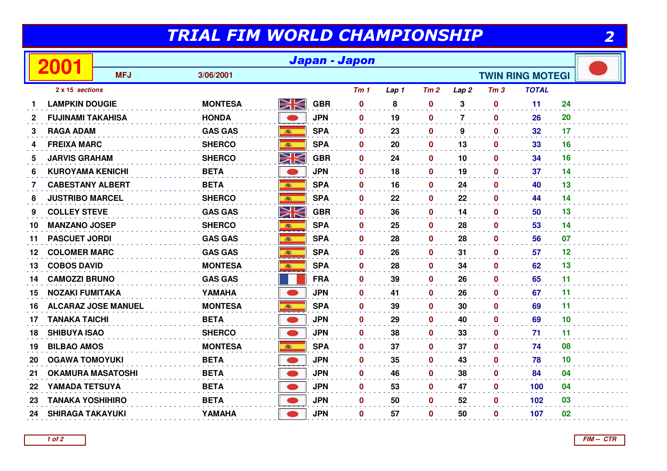## TRIAL FIM WORLD CHAMPIONSHIP

|                 |                          | Japan - Japon              |                                      |                         |            |                 |       |              |                  |                 |              |    |  |
|-----------------|--------------------------|----------------------------|--------------------------------------|-------------------------|------------|-----------------|-------|--------------|------------------|-----------------|--------------|----|--|
|                 |                          | <b>MFJ</b>                 | 3/06/2001<br><b>TWIN RING MOTEGI</b> |                         |            |                 |       |              |                  |                 |              |    |  |
| 2 x 15 sections |                          |                            |                                      |                         |            | Tm <sub>1</sub> | Lap 1 | Tm2          | Lap <sub>2</sub> | Tm <sub>3</sub> | <b>TOTAL</b> |    |  |
| 1               | <b>LAMPKIN DOUGIE</b>    |                            | <b>MONTESA</b>                       | $\geqslant$             | <b>GBR</b> | $\mathbf{0}$    | 8     | $\mathbf 0$  | 3                | $\mathbf{0}$    | 11           | 24 |  |
| $\mathbf{2}$    | <b>FUJINAMI TAKAHISA</b> |                            | <b>HONDA</b>                         |                         | <b>JPN</b> | $\mathbf{0}$    | 19    | 0            | $\overline{7}$   | 0               | 26           | 20 |  |
| 3               | <b>RAGA ADAM</b>         |                            | <b>GAS GAS</b>                       | 高                       | <b>SPA</b> | $\mathbf 0$     | 23    | $\mathbf 0$  | 9                | $\mathbf{0}$    | 32           | 17 |  |
| 4               | <b>FREIXA MARC</b>       |                            | <b>SHERCO</b>                        | 藏                       | <b>SPA</b> | $\mathbf 0$     | 20    | $\mathbf 0$  | 13               | $\mathbf 0$     | 33           | 16 |  |
| 5               | <b>JARVIS GRAHAM</b>     |                            | <b>SHERCO</b>                        | NK<br>ZK                | <b>GBR</b> | 0               | 24    | 0            | 10               | 0               | 34           | 16 |  |
| 6               | <b>KUROYAMA KENICHI</b>  |                            | <b>BETA</b>                          |                         | <b>JPN</b> | $\mathbf{0}$    | 18    | 0            | 19               | 0               | 37           | 14 |  |
| $\mathbf{7}$    | <b>CABESTANY ALBERT</b>  |                            | <b>BETA</b>                          | ing                     | <b>SPA</b> | $\mathbf 0$     | 16    | $\mathbf 0$  | 24               | $\mathbf 0$     | 40           | 13 |  |
| 8               | <b>JUSTRIBO MARCEL</b>   |                            | <b>SHERCO</b>                        |                         | <b>SPA</b> | $\mathbf 0$     | 22    | 0            | 22               | 0               | 44           | 14 |  |
| 9               | <b>COLLEY STEVE</b>      |                            | <b>GAS GAS</b>                       | NK                      | <b>GBR</b> | 0               | 36    | $\mathbf{0}$ | 14               | 0               | 50           | 13 |  |
| 10              | <b>MANZANO JOSEP</b>     |                            | <b>SHERCO</b>                        | 高                       | <b>SPA</b> | $\mathbf 0$     | 25    | $\mathbf 0$  | 28               | $\mathbf 0$     | 53           | 14 |  |
| 11              | <b>PASCUET JORDI</b>     |                            | <b>GAS GAS</b>                       |                         | <b>SPA</b> | $\mathbf 0$     | 28    | 0            | 28               | 0               | 56           | 07 |  |
| 12              | <b>COLOMER MARC</b>      |                            | <b>GAS GAS</b>                       | 高                       | <b>SPA</b> | $\mathbf 0$     | 26    | $\mathbf 0$  | 31               | 0               | 57           | 12 |  |
| 13              | <b>COBOS DAVID</b>       |                            | <b>MONTESA</b>                       | 森                       | <b>SPA</b> | $\mathbf{0}$    | 28    | 0            | 34               | $\mathbf{0}$    | 62           | 13 |  |
| 14              | <b>CAMOZZI BRUNO</b>     |                            | <b>GAS GAS</b>                       |                         | <b>FRA</b> | $\mathbf 0$     | 39    | $\mathbf 0$  | 26               | $\mathbf 0$     | 65           | 11 |  |
| 15              | <b>NOZAKI FUMITAKA</b>   |                            | YAMAHA                               |                         | <b>JPN</b> | $\mathbf 0$     | 41    | 0            | 26               | $\mathbf 0$     | 67           | 11 |  |
| 16              |                          | <b>ALCARAZ JOSE MANUEL</b> | <b>MONTESA</b>                       | ● 1                     | <b>SPA</b> | 0               | 39    | 0            | 30               | 0               | 69           | 11 |  |
| 17              | <b>TANAKA TAICHI</b>     |                            | <b>BETA</b>                          | $\bullet$               | <b>JPN</b> | $\mathbf 0$     | 29    | $\mathbf 0$  | 40               | $\mathbf 0$     | 69           | 10 |  |
| 18              | <b>SHIBUYA ISAO</b>      |                            | <b>SHERCO</b>                        |                         | <b>JPN</b> | $\mathbf 0$     | 38    | 0            | 33               | $\mathbf 0$     | 71           | 11 |  |
| 19              | <b>BILBAO AMOS</b>       |                            | <b>MONTESA</b>                       |                         | <b>SPA</b> | $\mathbf{0}$    | 37    | 0            | 37               | 0               | 74           | 08 |  |
| 20              | <b>OGAWA TOMOYUKI</b>    |                            | <b>BETA</b>                          | $\qquad \qquad \bullet$ | <b>JPN</b> | $\mathbf 0$     | 35    | $\mathbf{0}$ | 43               | $\mathbf 0$     | 78           | 10 |  |
| 21              | <b>OKAMURA MASATOSHI</b> |                            | <b>BETA</b>                          |                         | <b>JPN</b> | 0               | 46    | 0            | 38               | $\mathbf 0$     | 84           | 04 |  |
| 22              | YAMADA TETSUYA           |                            | <b>BETA</b>                          |                         | <b>JPN</b> | 0               | 53    | 0            | 47               | 0               | 100          | 04 |  |
| 23              | <b>TANAKA YOSHIHIRO</b>  |                            | <b>BETA</b>                          |                         | <b>JPN</b> | $\mathbf 0$     | 50    | $\mathbf{0}$ | 52               | 0               | 102          | 03 |  |
| 24              | <b>SHIRAGA TAKAYUKI</b>  |                            | YAMAHA                               |                         | <b>JPN</b> | $\mathbf{0}$    | 57    | $\bf{0}$     | 50               | 0               | 107          | 02 |  |

**FIM -- CTR**

2